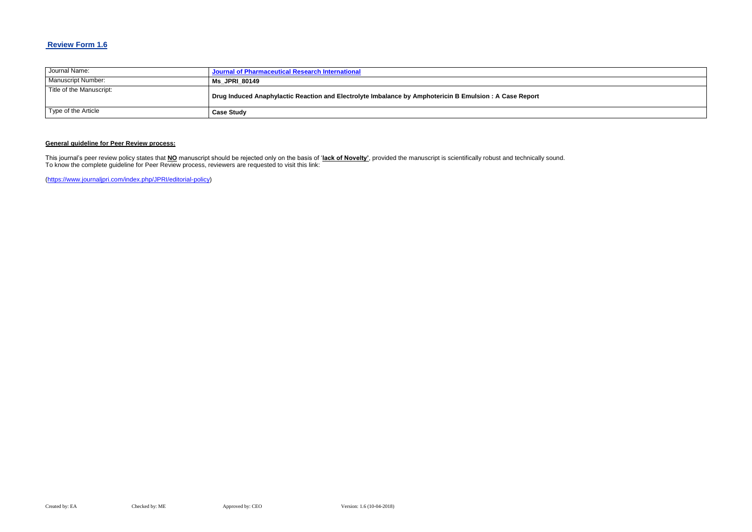## **Review Form 1.6**

| Journal Name:            | Journal of Pharmaceutical Research International                                                        |
|--------------------------|---------------------------------------------------------------------------------------------------------|
| Manuscript Number:       | <b>Ms JPRI 80149</b>                                                                                    |
| Title of the Manuscript: | Drug Induced Anaphylactic Reaction and Electrolyte Imbalance by Amphotericin B Emulsion : A Case Report |
| Type of the Article      | <b>Case Study</b>                                                                                       |

### **General guideline for Peer Review process:**

This journal's peer review policy states that **NO** manuscript should be rejected only on the basis of '**lack of Novelty'**, provided the manuscript is scientifically robust and technically sound. To know the complete guideline for Peer Review process, reviewers are requested to visit this link:

[\(https://www.journaljpri.com/index.php/JPRI/editorial-policy\)](https://www.journaljpri.com/index.php/JPRI/editorial-policy)

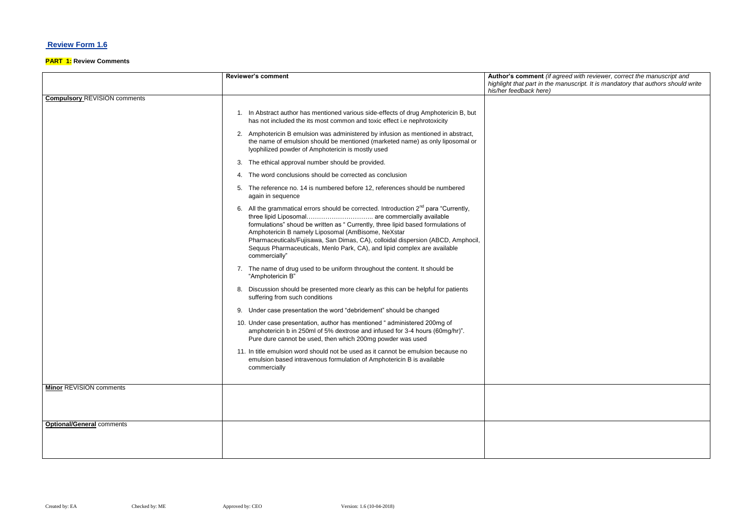## **Review Form 1.6**

### **PART 1: Review Comments**

#### **Reviewer's comment Author's comment** *(if agreed with reviewer, correct the manuscript and highlight that part in the manuscript. It is mandatory that authors should write*

|                                     | <b>Reviewer's comment</b>                                                                                                                                                                                                                                                                                                                                                                                                                                                      | Author's comment (if agre<br>highlight that part in the mai<br>his/her feedback here) |
|-------------------------------------|--------------------------------------------------------------------------------------------------------------------------------------------------------------------------------------------------------------------------------------------------------------------------------------------------------------------------------------------------------------------------------------------------------------------------------------------------------------------------------|---------------------------------------------------------------------------------------|
| <b>Compulsory REVISION comments</b> |                                                                                                                                                                                                                                                                                                                                                                                                                                                                                |                                                                                       |
|                                     | 1. In Abstract author has mentioned various side-effects of drug Amphotericin B, but<br>has not included the its most common and toxic effect i.e nephrotoxicity                                                                                                                                                                                                                                                                                                               |                                                                                       |
|                                     | 2. Amphotericin B emulsion was administered by infusion as mentioned in abstract,<br>the name of emulsion should be mentioned (marketed name) as only liposomal or<br>Iyophilized powder of Amphotericin is mostly used                                                                                                                                                                                                                                                        |                                                                                       |
|                                     | The ethical approval number should be provided.<br>З.                                                                                                                                                                                                                                                                                                                                                                                                                          |                                                                                       |
|                                     | The word conclusions should be corrected as conclusion                                                                                                                                                                                                                                                                                                                                                                                                                         |                                                                                       |
|                                     | The reference no. 14 is numbered before 12, references should be numbered<br>again in sequence                                                                                                                                                                                                                                                                                                                                                                                 |                                                                                       |
|                                     | 6. All the grammatical errors should be corrected. Introduction 2 <sup>nd</sup> para "Currently,<br>three lipid Liposomal are commercially available<br>formulations" shoud be written as " Currently, three lipid based formulations of<br>Amphotericin B namely Liposomal (AmBisome, NeXstar<br>Pharmaceuticals/Fujisawa, San Dimas, CA), colloidal dispersion (ABCD, Amphocil,<br>Sequus Pharmaceuticals, Menlo Park, CA), and lipid complex are available<br>commercially" |                                                                                       |
|                                     | 7. The name of drug used to be uniform throughout the content. It should be<br>"Amphotericin B"                                                                                                                                                                                                                                                                                                                                                                                |                                                                                       |
|                                     | Discussion should be presented more clearly as this can be helpful for patients<br>8.<br>suffering from such conditions                                                                                                                                                                                                                                                                                                                                                        |                                                                                       |
|                                     | Under case presentation the word "debridement" should be changed<br>9.                                                                                                                                                                                                                                                                                                                                                                                                         |                                                                                       |
|                                     | 10. Under case presentation, author has mentioned "administered 200mg of<br>amphotericin b in 250ml of 5% dextrose and infused for 3-4 hours (60mg/hr)".<br>Pure dure cannot be used, then which 200mg powder was used                                                                                                                                                                                                                                                         |                                                                                       |
|                                     | 11. In title emulsion word should not be used as it cannot be emulsion because no<br>emulsion based intravenous formulation of Amphotericin B is available<br>commercially                                                                                                                                                                                                                                                                                                     |                                                                                       |
| <b>Minor REVISION comments</b>      |                                                                                                                                                                                                                                                                                                                                                                                                                                                                                |                                                                                       |
|                                     |                                                                                                                                                                                                                                                                                                                                                                                                                                                                                |                                                                                       |
|                                     |                                                                                                                                                                                                                                                                                                                                                                                                                                                                                |                                                                                       |
| <b>Optional/General comments</b>    |                                                                                                                                                                                                                                                                                                                                                                                                                                                                                |                                                                                       |
|                                     |                                                                                                                                                                                                                                                                                                                                                                                                                                                                                |                                                                                       |
|                                     |                                                                                                                                                                                                                                                                                                                                                                                                                                                                                |                                                                                       |
|                                     |                                                                                                                                                                                                                                                                                                                                                                                                                                                                                |                                                                                       |